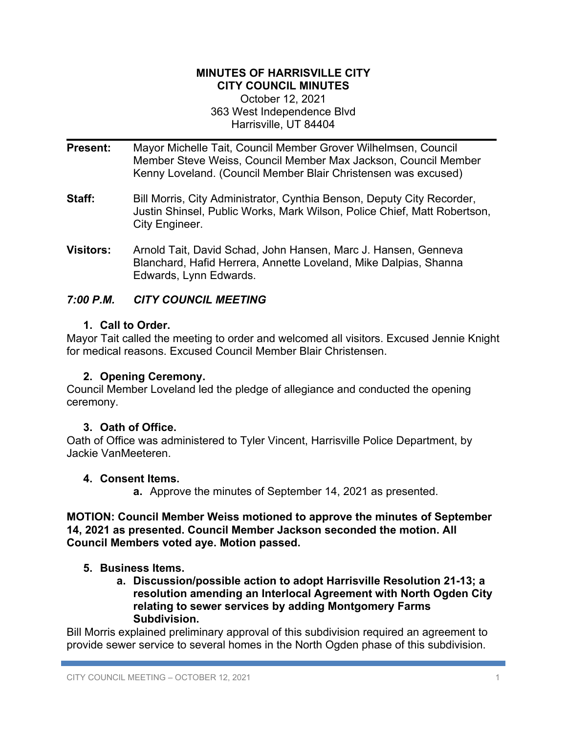#### **MINUTES OF HARRISVILLE CITY CITY COUNCIL MINUTES**

October 12, 2021 363 West Independence Blvd Harrisville, UT 84404

- **Present:** Mayor Michelle Tait, Council Member Grover Wilhelmsen, Council Member Steve Weiss, Council Member Max Jackson, Council Member Kenny Loveland. (Council Member Blair Christensen was excused)
- **Staff:** Bill Morris, City Administrator, Cynthia Benson, Deputy City Recorder, Justin Shinsel, Public Works, Mark Wilson, Police Chief, Matt Robertson, City Engineer.
- **Visitors:** Arnold Tait, David Schad, John Hansen, Marc J. Hansen, Genneva Blanchard, Hafid Herrera, Annette Loveland, Mike Dalpias, Shanna Edwards, Lynn Edwards.

# *7:00 P.M. CITY COUNCIL MEETING*

# **1. Call to Order.**

Mayor Tait called the meeting to order and welcomed all visitors. Excused Jennie Knight for medical reasons. Excused Council Member Blair Christensen.

# **2. Opening Ceremony.**

Council Member Loveland led the pledge of allegiance and conducted the opening ceremony.

# **3. Oath of Office.**

Oath of Office was administered to Tyler Vincent, Harrisville Police Department, by Jackie VanMeeteren.

# **4. Consent Items.**

**a.** Approve the minutes of September 14, 2021 as presented.

### **MOTION: Council Member Weiss motioned to approve the minutes of September 14, 2021 as presented. Council Member Jackson seconded the motion. All Council Members voted aye. Motion passed.**

# **5. Business Items.**

**a. Discussion/possible action to adopt Harrisville Resolution 21-13; a resolution amending an Interlocal Agreement with North Ogden City relating to sewer services by adding Montgomery Farms Subdivision.**

Bill Morris explained preliminary approval of this subdivision required an agreement to provide sewer service to several homes in the North Ogden phase of this subdivision.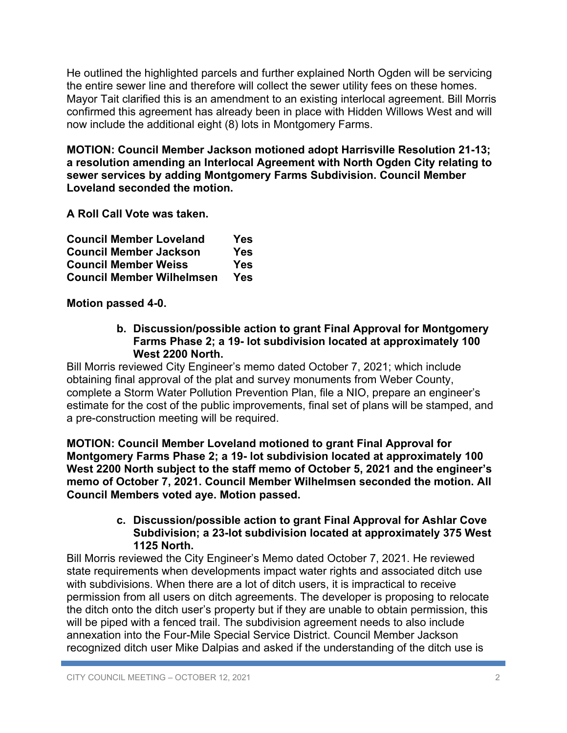He outlined the highlighted parcels and further explained North Ogden will be servicing the entire sewer line and therefore will collect the sewer utility fees on these homes. Mayor Tait clarified this is an amendment to an existing interlocal agreement. Bill Morris confirmed this agreement has already been in place with Hidden Willows West and will now include the additional eight (8) lots in Montgomery Farms.

**MOTION: Council Member Jackson motioned adopt Harrisville Resolution 21-13; a resolution amending an Interlocal Agreement with North Ogden City relating to sewer services by adding Montgomery Farms Subdivision. Council Member Loveland seconded the motion.** 

**A Roll Call Vote was taken.**

| <b>Council Member Loveland</b>   | <b>Yes</b> |
|----------------------------------|------------|
| <b>Council Member Jackson</b>    | Yes        |
| <b>Council Member Weiss</b>      | Yes        |
| <b>Council Member Wilhelmsen</b> | Yes        |

**Motion passed 4-0.**

**b. Discussion/possible action to grant Final Approval for Montgomery Farms Phase 2; a 19- lot subdivision located at approximately 100 West 2200 North.**

Bill Morris reviewed City Engineer's memo dated October 7, 2021; which include obtaining final approval of the plat and survey monuments from Weber County, complete a Storm Water Pollution Prevention Plan, file a NIO, prepare an engineer's estimate for the cost of the public improvements, final set of plans will be stamped, and a pre-construction meeting will be required.

**MOTION: Council Member Loveland motioned to grant Final Approval for Montgomery Farms Phase 2; a 19- lot subdivision located at approximately 100 West 2200 North subject to the staff memo of October 5, 2021 and the engineer's memo of October 7, 2021. Council Member Wilhelmsen seconded the motion. All Council Members voted aye. Motion passed.**

### **c. Discussion/possible action to grant Final Approval for Ashlar Cove Subdivision; a 23-lot subdivision located at approximately 375 West 1125 North.**

Bill Morris reviewed the City Engineer's Memo dated October 7, 2021. He reviewed state requirements when developments impact water rights and associated ditch use with subdivisions. When there are a lot of ditch users, it is impractical to receive permission from all users on ditch agreements. The developer is proposing to relocate the ditch onto the ditch user's property but if they are unable to obtain permission, this will be piped with a fenced trail. The subdivision agreement needs to also include annexation into the Four-Mile Special Service District. Council Member Jackson recognized ditch user Mike Dalpias and asked if the understanding of the ditch use is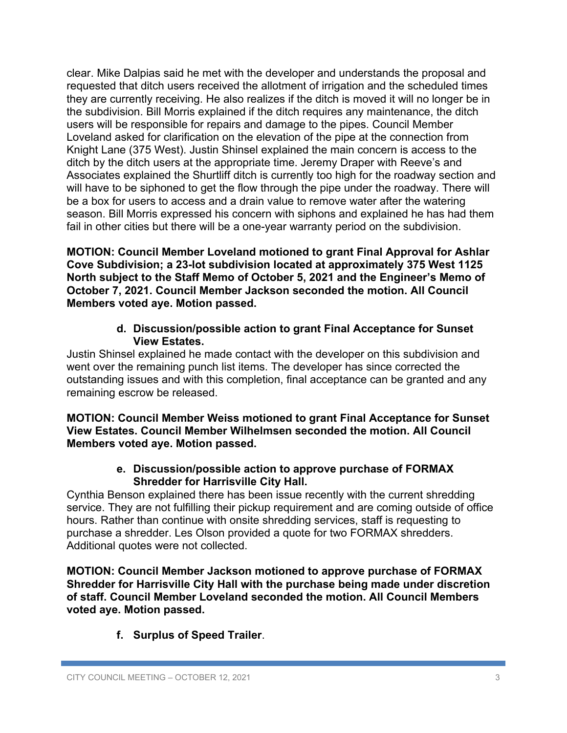clear. Mike Dalpias said he met with the developer and understands the proposal and requested that ditch users received the allotment of irrigation and the scheduled times they are currently receiving. He also realizes if the ditch is moved it will no longer be in the subdivision. Bill Morris explained if the ditch requires any maintenance, the ditch users will be responsible for repairs and damage to the pipes. Council Member Loveland asked for clarification on the elevation of the pipe at the connection from Knight Lane (375 West). Justin Shinsel explained the main concern is access to the ditch by the ditch users at the appropriate time. Jeremy Draper with Reeve's and Associates explained the Shurtliff ditch is currently too high for the roadway section and will have to be siphoned to get the flow through the pipe under the roadway. There will be a box for users to access and a drain value to remove water after the watering season. Bill Morris expressed his concern with siphons and explained he has had them fail in other cities but there will be a one-year warranty period on the subdivision.

**MOTION: Council Member Loveland motioned to grant Final Approval for Ashlar Cove Subdivision; a 23-lot subdivision located at approximately 375 West 1125 North subject to the Staff Memo of October 5, 2021 and the Engineer's Memo of October 7, 2021. Council Member Jackson seconded the motion. All Council Members voted aye. Motion passed.**

### **d. Discussion/possible action to grant Final Acceptance for Sunset View Estates.**

Justin Shinsel explained he made contact with the developer on this subdivision and went over the remaining punch list items. The developer has since corrected the outstanding issues and with this completion, final acceptance can be granted and any remaining escrow be released.

**MOTION: Council Member Weiss motioned to grant Final Acceptance for Sunset View Estates. Council Member Wilhelmsen seconded the motion. All Council Members voted aye. Motion passed.**

# **e. Discussion/possible action to approve purchase of FORMAX Shredder for Harrisville City Hall.**

Cynthia Benson explained there has been issue recently with the current shredding service. They are not fulfilling their pickup requirement and are coming outside of office hours. Rather than continue with onsite shredding services, staff is requesting to purchase a shredder. Les Olson provided a quote for two FORMAX shredders. Additional quotes were not collected.

**MOTION: Council Member Jackson motioned to approve purchase of FORMAX Shredder for Harrisville City Hall with the purchase being made under discretion of staff. Council Member Loveland seconded the motion. All Council Members voted aye. Motion passed.**

**f. Surplus of Speed Trailer**.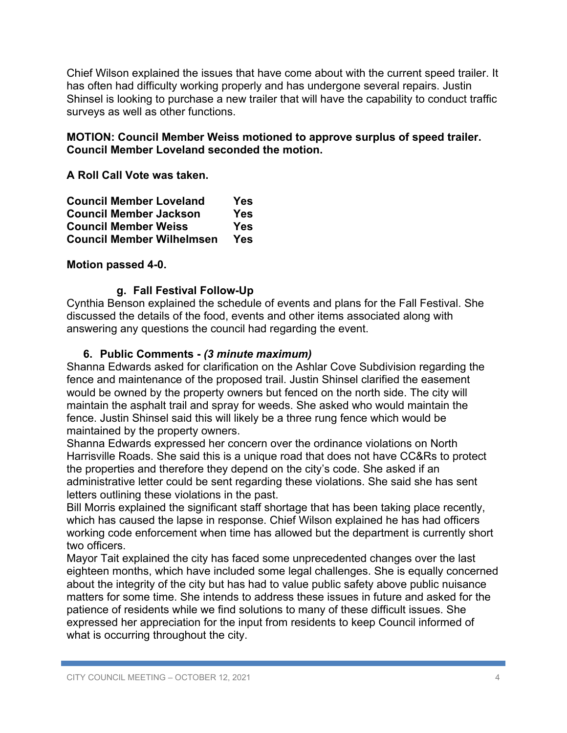Chief Wilson explained the issues that have come about with the current speed trailer. It has often had difficulty working properly and has undergone several repairs. Justin Shinsel is looking to purchase a new trailer that will have the capability to conduct traffic surveys as well as other functions.

### **MOTION: Council Member Weiss motioned to approve surplus of speed trailer. Council Member Loveland seconded the motion.**

**A Roll Call Vote was taken.**

| <b>Council Member Loveland</b>   | Yes |
|----------------------------------|-----|
| <b>Council Member Jackson</b>    | Yes |
| <b>Council Member Weiss</b>      | Yes |
| <b>Council Member Wilhelmsen</b> | Yes |

### **Motion passed 4-0.**

### **g. Fall Festival Follow-Up**

Cynthia Benson explained the schedule of events and plans for the Fall Festival. She discussed the details of the food, events and other items associated along with answering any questions the council had regarding the event.

### **6. Public Comments -** *(3 minute maximum)*

Shanna Edwards asked for clarification on the Ashlar Cove Subdivision regarding the fence and maintenance of the proposed trail. Justin Shinsel clarified the easement would be owned by the property owners but fenced on the north side. The city will maintain the asphalt trail and spray for weeds. She asked who would maintain the fence. Justin Shinsel said this will likely be a three rung fence which would be maintained by the property owners.

Shanna Edwards expressed her concern over the ordinance violations on North Harrisville Roads. She said this is a unique road that does not have CC&Rs to protect the properties and therefore they depend on the city's code. She asked if an administrative letter could be sent regarding these violations. She said she has sent letters outlining these violations in the past.

Bill Morris explained the significant staff shortage that has been taking place recently, which has caused the lapse in response. Chief Wilson explained he has had officers working code enforcement when time has allowed but the department is currently short two officers.

Mayor Tait explained the city has faced some unprecedented changes over the last eighteen months, which have included some legal challenges. She is equally concerned about the integrity of the city but has had to value public safety above public nuisance matters for some time. She intends to address these issues in future and asked for the patience of residents while we find solutions to many of these difficult issues. She expressed her appreciation for the input from residents to keep Council informed of what is occurring throughout the city.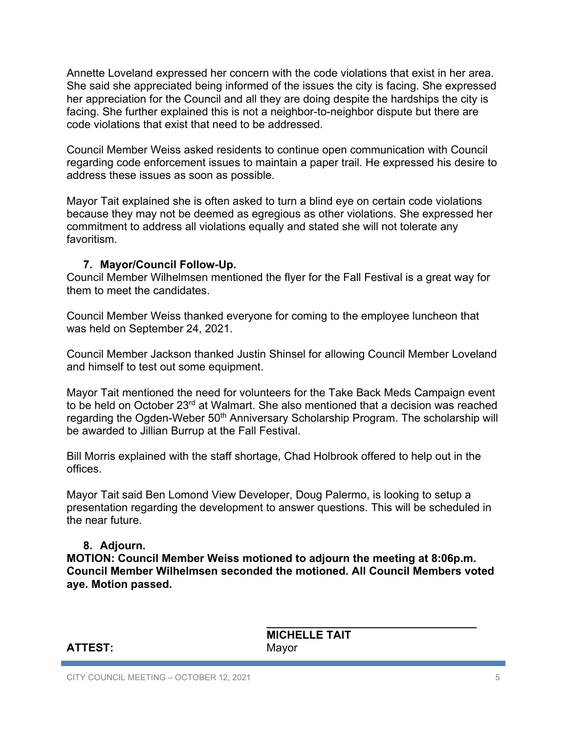Annette Loveland expressed her concern with the code violations that exist in her area. She said she appreciated being informed of the issues the city is facing. She expressed her appreciation for the Council and all they are doing despite the hardships the city is facing. She further explained this is not a neighbor-to-neighbor dispute but there are code violations that exist that need to be addressed.

Council Member Weiss asked residents to continue open communication with Council regarding code enforcement issues to maintain a paper trail. He expressed his desire to address these issues as soon as possible.

Mayor Tait explained she is often asked to turn a blind eye on certain code violations because they may not be deemed as egregious as other violations. She expressed her commitment to address all violations equally and stated she will not tolerate any favoritism.

### **7. Mayor/Council Follow-Up.**

Council Member Wilhelmsen mentioned the flyer for the Fall Festival is a great way for them to meet the candidates.

Council Member Weiss thanked everyone for coming to the employee luncheon that was held on September 24, 2021.

Council Member Jackson thanked Justin Shinsel for allowing Council Member Loveland and himself to test out some equipment.

Mayor Tait mentioned the need for volunteers for the Take Back Meds Campaign event to be held on October 23<sup>rd</sup> at Walmart. She also mentioned that a decision was reached regarding the Ogden-Weber 50<sup>th</sup> Anniversary Scholarship Program. The scholarship will be awarded to Jillian Burrup at the Fall Festival.

Bill Morris explained with the staff shortage, Chad Holbrook offered to help out in the offices.

Mayor Tait said Ben Lomond View Developer, Doug Palermo, is looking to setup a presentation regarding the development to answer questions. This will be scheduled in the near future.

### **8. Adjourn.**

**MOTION: Council Member Weiss motioned to adjourn the meeting at 8:06p.m. Council Member Wilhelmsen seconded the motioned. All Council Members voted aye. Motion passed.**

### **ATTEST:** Mayor

 **\_\_\_\_\_\_\_\_\_\_\_\_\_\_\_\_\_\_\_\_\_\_\_\_\_\_\_\_\_\_\_\_\_\_ MICHELLE TAIT**